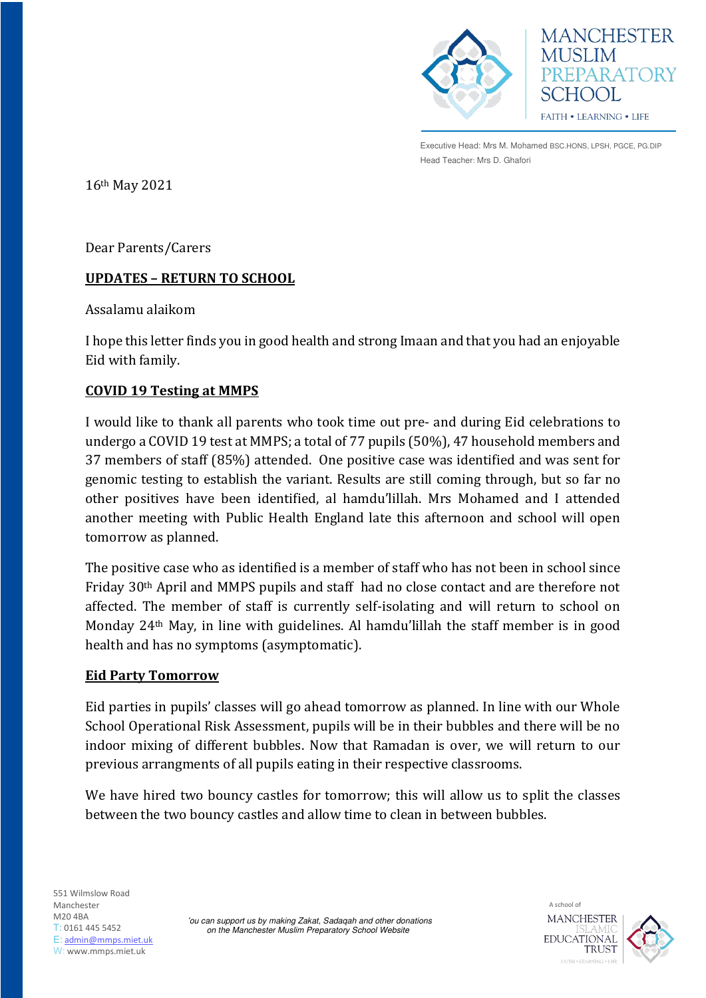



Executive Head: Mrs M. Mohamed BSC.HONS, LPSH, PGCE, PG.DIP Head Teacher: Mrs D. Ghafori

16th May 2021

Dear Parents/Carers

## **UPDATES – RETURN TO SCHOOL**

Assalamu alaikom

I hope this letter finds you in good health and strong Imaan and that you had an enjoyable Eid with family.

## **COVID 19 Testing at MMPS**

I would like to thank all parents who took time out pre- and during Eid celebrations to undergo a COVID 19 test at MMPS; a total of 77 pupils (50%), 47 household members and 37 members of staff (85%) attended. One positive case was identified and was sent for genomic testing to establish the variant. Results are still coming through, but so far no other positives have been identified, al hamdu'lillah. Mrs Mohamed and I attended another meeting with Public Health England late this afternoon and school will open tomorrow as planned.

The positive case who as identified is a member of staff who has not been in school since Friday 30th April and MMPS pupils and staff had no close contact and are therefore not affected. The member of staff is currently self-isolating and will return to school on Monday 24th May, in line with guidelines. Al hamdu'lillah the staff member is in good health and has no symptoms (asymptomatic).

## **Eid Party Tomorrow**

Eid parties in pupils' classes will go ahead tomorrow as planned. In line with our Whole School Operational Risk Assessment, pupils will be in their bubbles and there will be no indoor mixing of different bubbles. Now that Ramadan is over, we will return to our previous arrangments of all pupils eating in their respective classrooms.

We have hired two bouncy castles for tomorrow; this will allow us to split the classes between the two bouncy castles and allow time to clean in between bubbles.